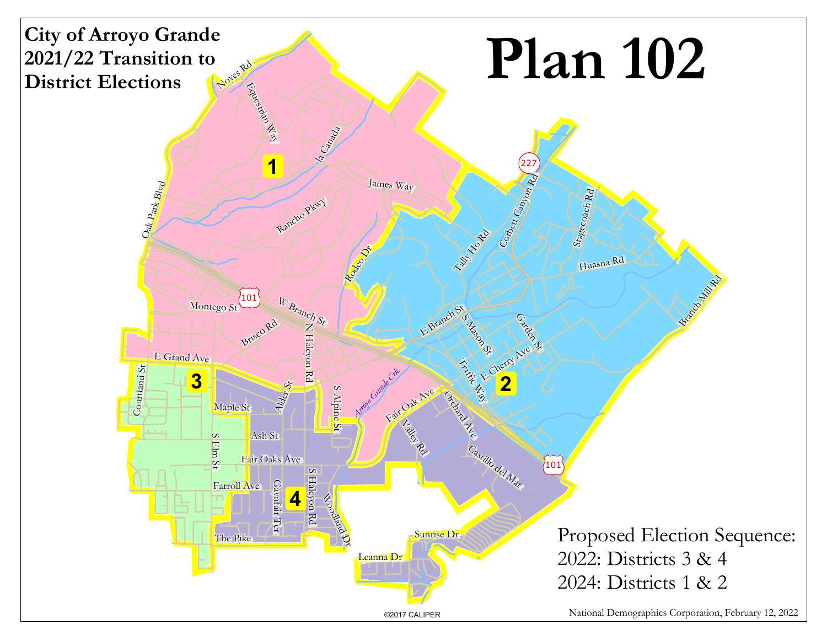